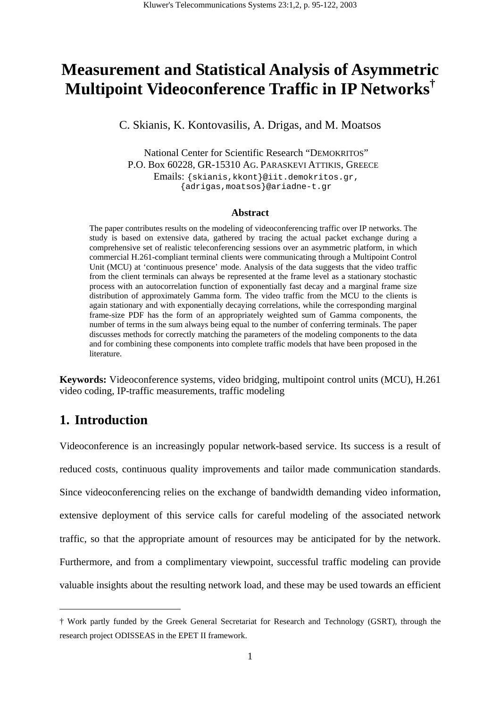# **Measurement and Statistical Analysis of Asymmetric Multipoint Videoconference Traffic in IP Networks†**

C. Skianis, K. Kontovasilis, A. Drigas, and M. Moatsos

National Center for Scientific Research "DEMOKRITOS" P.O. Box 60228, GR-15310 AG. PARASKEVI ATTIKIS, GREECE Emails: {skianis,kkont}@iit.demokritos.gr, {adrigas,moatsos}@ariadne-t.gr

#### **Abstract**

The paper contributes results on the modeling of videoconferencing traffic over IP networks. The study is based on extensive data, gathered by tracing the actual packet exchange during a comprehensive set of realistic teleconferencing sessions over an asymmetric platform, in which commercial H.261-compliant terminal clients were communicating through a Multipoint Control Unit (MCU) at 'continuous presence' mode. Analysis of the data suggests that the video traffic from the client terminals can always be represented at the frame level as a stationary stochastic process with an autocorrelation function of exponentially fast decay and a marginal frame size distribution of approximately Gamma form. The video traffic from the MCU to the clients is again stationary and with exponentially decaying correlations, while the corresponding marginal frame-size PDF has the form of an appropriately weighted sum of Gamma components, the number of terms in the sum always being equal to the number of conferring terminals. The paper discusses methods for correctly matching the parameters of the modeling components to the data and for combining these components into complete traffic models that have been proposed in the literature.

**Keywords:** Videoconference systems, video bridging, multipoint control units (MCU), H.261 video coding, IP-traffic measurements, traffic modeling

# **1. Introduction**

 $\overline{a}$ 

Videoconference is an increasingly popular network-based service. Its success is a result of reduced costs, continuous quality improvements and tailor made communication standards. Since videoconferencing relies on the exchange of bandwidth demanding video information, extensive deployment of this service calls for careful modeling of the associated network traffic, so that the appropriate amount of resources may be anticipated for by the network. Furthermore, and from a complimentary viewpoint, successful traffic modeling can provide valuable insights about the resulting network load, and these may be used towards an efficient

<sup>†</sup> Work partly funded by the Greek General Secretariat for Research and Technology (GSRT), through the research project ODISSEAS in the EPET II framework.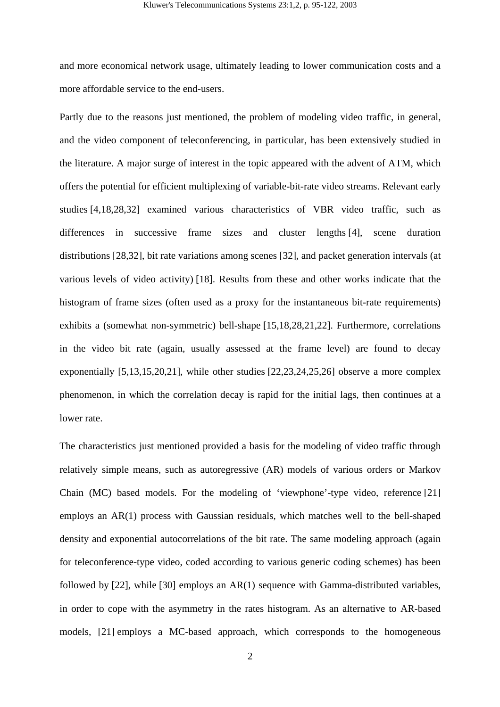and more economical network usage, ultimately leading to lower communication costs and a more affordable service to the end-users.

Partly due to the reasons just mentioned, the problem of modeling video traffic, in general, and the video component of teleconferencing, in particular, has been extensively studied in the literature. A major surge of interest in the topic appeared with the advent of ATM, which offers the potential for efficient multiplexing of variable-bit-rate video streams. Relevant early studies [4,18,28,32] examined various characteristics of VBR video traffic, such as differences in successive frame sizes and cluster lengths [4], scene duration distributions [28,32], bit rate variations among scenes [32], and packet generation intervals (at various levels of video activity) [18]. Results from these and other works indicate that the histogram of frame sizes (often used as a proxy for the instantaneous bit-rate requirements) exhibits a (somewhat non-symmetric) bell-shape [15,18,28,21,22]. Furthermore, correlations in the video bit rate (again, usually assessed at the frame level) are found to decay exponentially [5,13,15,20,21], while other studies [22,23,24,25,26] observe a more complex phenomenon, in which the correlation decay is rapid for the initial lags, then continues at a lower rate.

The characteristics just mentioned provided a basis for the modeling of video traffic through relatively simple means, such as autoregressive (AR) models of various orders or Markov Chain (MC) based models. For the modeling of 'viewphone'-type video, reference [21] employs an AR(1) process with Gaussian residuals, which matches well to the bell-shaped density and exponential autocorrelations of the bit rate. The same modeling approach (again for teleconference-type video, coded according to various generic coding schemes) has been followed by [22], while [30] employs an AR(1) sequence with Gamma-distributed variables, in order to cope with the asymmetry in the rates histogram. As an alternative to AR-based models, [21] employs a MC-based approach, which corresponds to the homogeneous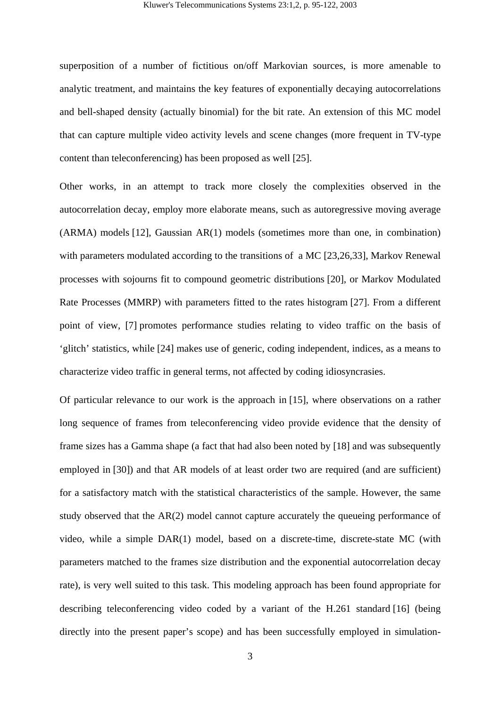superposition of a number of fictitious on/off Markovian sources, is more amenable to analytic treatment, and maintains the key features of exponentially decaying autocorrelations and bell-shaped density (actually binomial) for the bit rate. An extension of this MC model that can capture multiple video activity levels and scene changes (more frequent in TV-type content than teleconferencing) has been proposed as well [25].

Other works, in an attempt to track more closely the complexities observed in the autocorrelation decay, employ more elaborate means, such as autoregressive moving average (ARMA) models [12], Gaussian AR(1) models (sometimes more than one, in combination) with parameters modulated according to the transitions of a MC [23,26,33], Markov Renewal processes with sojourns fit to compound geometric distributions [20], or Markov Modulated Rate Processes (MMRP) with parameters fitted to the rates histogram [27]. From a different point of view, [7] promotes performance studies relating to video traffic on the basis of 'glitch' statistics, while [24] makes use of generic, coding independent, indices, as a means to characterize video traffic in general terms, not affected by coding idiosyncrasies.

Of particular relevance to our work is the approach in [15], where observations on a rather long sequence of frames from teleconferencing video provide evidence that the density of frame sizes has a Gamma shape (a fact that had also been noted by [18] and was subsequently employed in [30]) and that AR models of at least order two are required (and are sufficient) for a satisfactory match with the statistical characteristics of the sample. However, the same study observed that the AR(2) model cannot capture accurately the queueing performance of video, while a simple DAR(1) model, based on a discrete-time, discrete-state MC (with parameters matched to the frames size distribution and the exponential autocorrelation decay rate), is very well suited to this task. This modeling approach has been found appropriate for describing teleconferencing video coded by a variant of the H.261 standard [16] (being directly into the present paper's scope) and has been successfully employed in simulation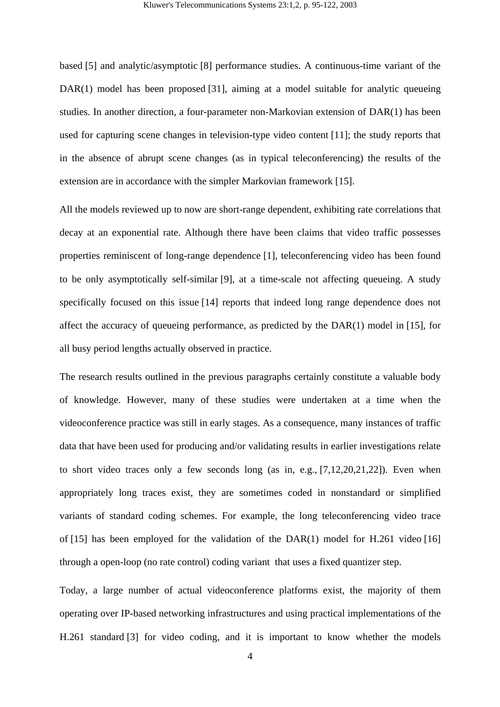based [5] and analytic/asymptotic [8] performance studies. A continuous-time variant of the DAR(1) model has been proposed [31], aiming at a model suitable for analytic queueing studies. In another direction, a four-parameter non-Markovian extension of DAR(1) has been used for capturing scene changes in television-type video content [11]; the study reports that in the absence of abrupt scene changes (as in typical teleconferencing) the results of the extension are in accordance with the simpler Markovian framework [15].

All the models reviewed up to now are short-range dependent, exhibiting rate correlations that decay at an exponential rate. Although there have been claims that video traffic possesses properties reminiscent of long-range dependence [1], teleconferencing video has been found to be only asymptotically self-similar [9], at a time-scale not affecting queueing. A study specifically focused on this issue [14] reports that indeed long range dependence does not affect the accuracy of queueing performance, as predicted by the DAR(1) model in [15], for all busy period lengths actually observed in practice.

The research results outlined in the previous paragraphs certainly constitute a valuable body of knowledge. However, many of these studies were undertaken at a time when the videoconference practice was still in early stages. As a consequence, many instances of traffic data that have been used for producing and/or validating results in earlier investigations relate to short video traces only a few seconds long (as in, e.g., [7,12,20,21,22]). Even when appropriately long traces exist, they are sometimes coded in nonstandard or simplified variants of standard coding schemes. For example, the long teleconferencing video trace of [15] has been employed for the validation of the DAR(1) model for H.261 video [16] through a open-loop (no rate control) coding variant that uses a fixed quantizer step.

Today, a large number of actual videoconference platforms exist, the majority of them operating over IP-based networking infrastructures and using practical implementations of the H.261 standard [3] for video coding, and it is important to know whether the models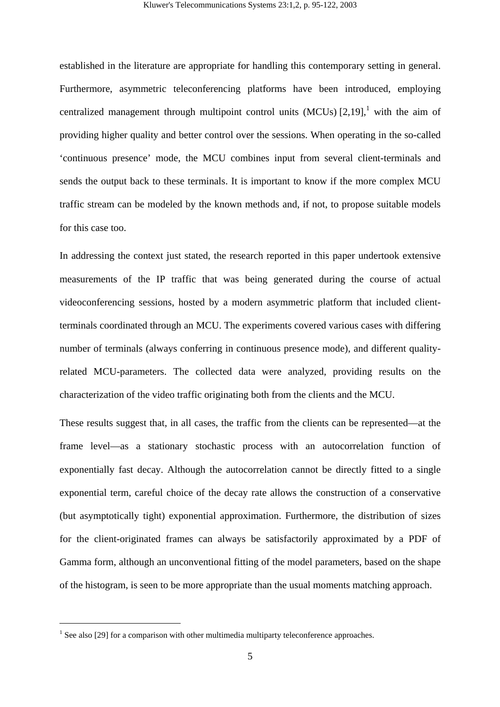established in the literature are appropriate for handling this contemporary setting in general. Furthermore, asymmetric teleconferencing platforms have been introduced, employing centralized management through multipoint control units (MCUs)  $[2,19]$ , with the aim of providing higher quality and better control over the sessions. When operating in the so-called 'continuous presence' mode, the MCU combines input from several client-terminals and sends the output back to these terminals. It is important to know if the more complex MCU traffic stream can be modeled by the known methods and, if not, to propose suitable models for this case too.

In addressing the context just stated, the research reported in this paper undertook extensive measurements of the IP traffic that was being generated during the course of actual videoconferencing sessions, hosted by a modern asymmetric platform that included clientterminals coordinated through an MCU. The experiments covered various cases with differing number of terminals (always conferring in continuous presence mode), and different qualityrelated MCU-parameters. The collected data were analyzed, providing results on the characterization of the video traffic originating both from the clients and the MCU.

These results suggest that, in all cases, the traffic from the clients can be represented—at the frame level—as a stationary stochastic process with an autocorrelation function of exponentially fast decay. Although the autocorrelation cannot be directly fitted to a single exponential term, careful choice of the decay rate allows the construction of a conservative (but asymptotically tight) exponential approximation. Furthermore, the distribution of sizes for the client-originated frames can always be satisfactorily approximated by a PDF of Gamma form, although an unconventional fitting of the model parameters, based on the shape of the histogram, is seen to be more appropriate than the usual moments matching approach.

 $\overline{a}$ 

 $<sup>1</sup>$  See also [29] for a comparison with other multimedia multiparty teleconference approaches.</sup>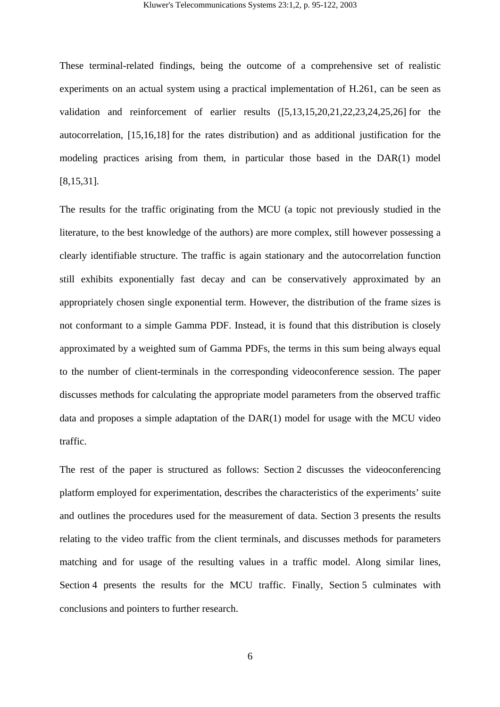These terminal-related findings, being the outcome of a comprehensive set of realistic experiments on an actual system using a practical implementation of H.261, can be seen as validation and reinforcement of earlier results ([5,13,15,20,21,22,23,24,25,26] for the autocorrelation, [15,16,18] for the rates distribution) and as additional justification for the modeling practices arising from them, in particular those based in the DAR(1) model [8,15,31].

The results for the traffic originating from the MCU (a topic not previously studied in the literature, to the best knowledge of the authors) are more complex, still however possessing a clearly identifiable structure. The traffic is again stationary and the autocorrelation function still exhibits exponentially fast decay and can be conservatively approximated by an appropriately chosen single exponential term. However, the distribution of the frame sizes is not conformant to a simple Gamma PDF. Instead, it is found that this distribution is closely approximated by a weighted sum of Gamma PDFs, the terms in this sum being always equal to the number of client-terminals in the corresponding videoconference session. The paper discusses methods for calculating the appropriate model parameters from the observed traffic data and proposes a simple adaptation of the DAR(1) model for usage with the MCU video traffic.

The rest of the paper is structured as follows: Section 2 discusses the videoconferencing platform employed for experimentation, describes the characteristics of the experiments' suite and outlines the procedures used for the measurement of data. Section 3 presents the results relating to the video traffic from the client terminals, and discusses methods for parameters matching and for usage of the resulting values in a traffic model. Along similar lines, Section 4 presents the results for the MCU traffic. Finally, Section 5 culminates with conclusions and pointers to further research.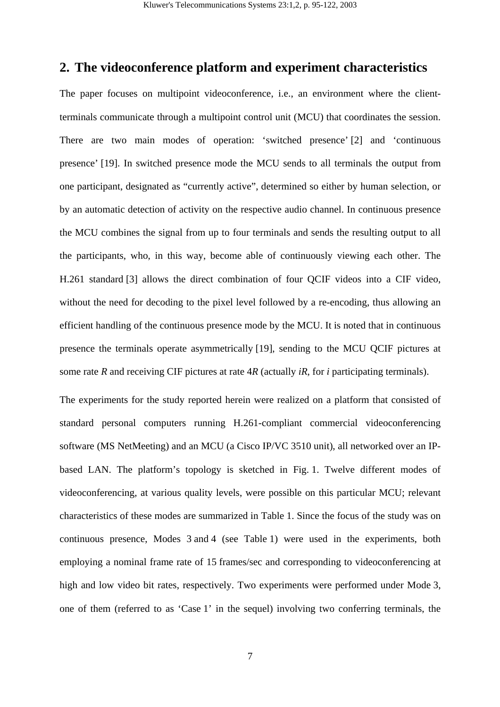# **2. The videoconference platform and experiment characteristics**

The paper focuses on multipoint videoconference, i.e., an environment where the clientterminals communicate through a multipoint control unit (MCU) that coordinates the session. There are two main modes of operation: 'switched presence' [2] and 'continuous presence' [19]. In switched presence mode the MCU sends to all terminals the output from one participant, designated as "currently active", determined so either by human selection, or by an automatic detection of activity on the respective audio channel. In continuous presence the MCU combines the signal from up to four terminals and sends the resulting output to all the participants, who, in this way, become able of continuously viewing each other. The H.261 standard [3] allows the direct combination of four QCIF videos into a CIF video, without the need for decoding to the pixel level followed by a re-encoding, thus allowing an efficient handling of the continuous presence mode by the MCU. It is noted that in continuous presence the terminals operate asymmetrically [19], sending to the MCU QCIF pictures at some rate *R* and receiving CIF pictures at rate 4*R* (actually *iR*, for *i* participating terminals).

The experiments for the study reported herein were realized on a platform that consisted of standard personal computers running H.261-compliant commercial videoconferencing software (MS NetMeeting) and an MCU (a Cisco IP/VC 3510 unit), all networked over an IPbased LAN. The platform's topology is sketched in Fig. 1. Twelve different modes of videoconferencing, at various quality levels, were possible on this particular MCU; relevant characteristics of these modes are summarized in Table 1. Since the focus of the study was on continuous presence, Modes 3 and 4 (see Table 1) were used in the experiments, both employing a nominal frame rate of 15 frames/sec and corresponding to videoconferencing at high and low video bit rates, respectively. Two experiments were performed under Mode 3, one of them (referred to as 'Case 1' in the sequel) involving two conferring terminals, the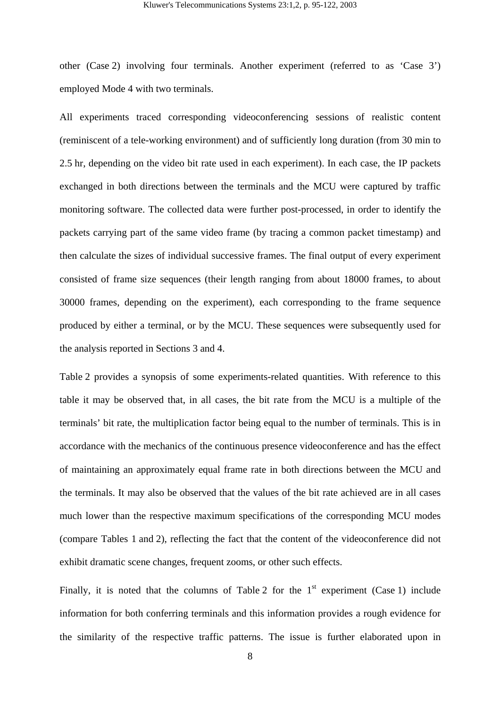other (Case 2) involving four terminals. Another experiment (referred to as 'Case 3') employed Mode 4 with two terminals.

All experiments traced corresponding videoconferencing sessions of realistic content (reminiscent of a tele-working environment) and of sufficiently long duration (from 30 min to 2.5 hr, depending on the video bit rate used in each experiment). In each case, the IP packets exchanged in both directions between the terminals and the MCU were captured by traffic monitoring software. The collected data were further post-processed, in order to identify the packets carrying part of the same video frame (by tracing a common packet timestamp) and then calculate the sizes of individual successive frames. The final output of every experiment consisted of frame size sequences (their length ranging from about 18000 frames, to about 30000 frames, depending on the experiment), each corresponding to the frame sequence produced by either a terminal, or by the MCU. These sequences were subsequently used for the analysis reported in Sections 3 and 4.

Table 2 provides a synopsis of some experiments-related quantities. With reference to this table it may be observed that, in all cases, the bit rate from the MCU is a multiple of the terminals' bit rate, the multiplication factor being equal to the number of terminals. This is in accordance with the mechanics of the continuous presence videoconference and has the effect of maintaining an approximately equal frame rate in both directions between the MCU and the terminals. It may also be observed that the values of the bit rate achieved are in all cases much lower than the respective maximum specifications of the corresponding MCU modes (compare Tables 1 and 2), reflecting the fact that the content of the videoconference did not exhibit dramatic scene changes, frequent zooms, or other such effects.

Finally, it is noted that the columns of Table 2 for the  $1<sup>st</sup>$  experiment (Case 1) include information for both conferring terminals and this information provides a rough evidence for the similarity of the respective traffic patterns. The issue is further elaborated upon in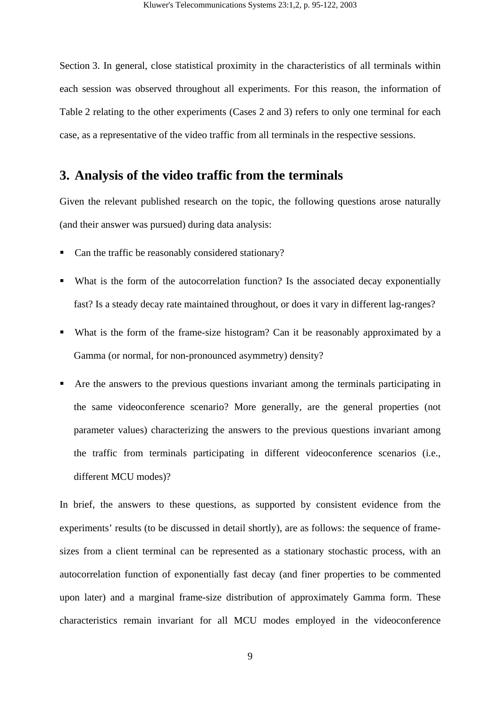Section 3. In general, close statistical proximity in the characteristics of all terminals within each session was observed throughout all experiments. For this reason, the information of Table 2 relating to the other experiments (Cases 2 and 3) refers to only one terminal for each case, as a representative of the video traffic from all terminals in the respective sessions.

# **3. Analysis of the video traffic from the terminals**

Given the relevant published research on the topic, the following questions arose naturally (and their answer was pursued) during data analysis:

- Can the traffic be reasonably considered stationary?
- What is the form of the autocorrelation function? Is the associated decay exponentially fast? Is a steady decay rate maintained throughout, or does it vary in different lag-ranges?
- What is the form of the frame-size histogram? Can it be reasonably approximated by a Gamma (or normal, for non-pronounced asymmetry) density?
- Are the answers to the previous questions invariant among the terminals participating in the same videoconference scenario? More generally, are the general properties (not parameter values) characterizing the answers to the previous questions invariant among the traffic from terminals participating in different videoconference scenarios (i.e., different MCU modes)?

In brief, the answers to these questions, as supported by consistent evidence from the experiments' results (to be discussed in detail shortly), are as follows: the sequence of framesizes from a client terminal can be represented as a stationary stochastic process, with an autocorrelation function of exponentially fast decay (and finer properties to be commented upon later) and a marginal frame-size distribution of approximately Gamma form. These characteristics remain invariant for all MCU modes employed in the videoconference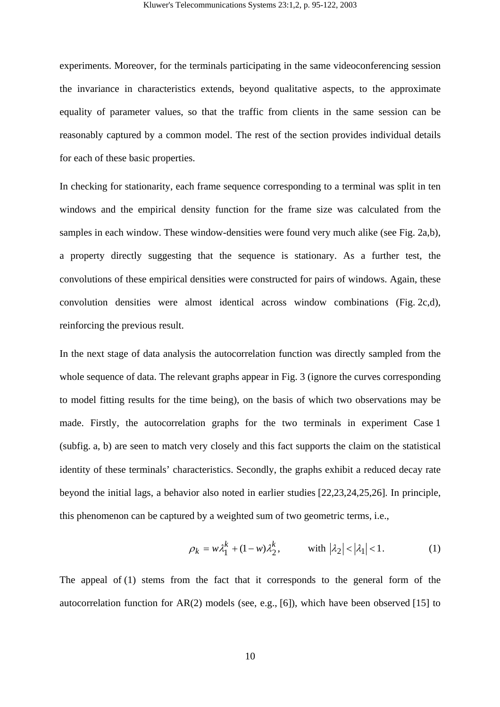experiments. Moreover, for the terminals participating in the same videoconferencing session the invariance in characteristics extends, beyond qualitative aspects, to the approximate equality of parameter values, so that the traffic from clients in the same session can be reasonably captured by a common model. The rest of the section provides individual details for each of these basic properties.

In checking for stationarity, each frame sequence corresponding to a terminal was split in ten windows and the empirical density function for the frame size was calculated from the samples in each window. These window-densities were found very much alike (see Fig. 2a,b), a property directly suggesting that the sequence is stationary. As a further test, the convolutions of these empirical densities were constructed for pairs of windows. Again, these convolution densities were almost identical across window combinations (Fig. 2c,d), reinforcing the previous result.

In the next stage of data analysis the autocorrelation function was directly sampled from the whole sequence of data. The relevant graphs appear in Fig. 3 (ignore the curves corresponding to model fitting results for the time being), on the basis of which two observations may be made. Firstly, the autocorrelation graphs for the two terminals in experiment Case 1 (subfig. a, b) are seen to match very closely and this fact supports the claim on the statistical identity of these terminals' characteristics. Secondly, the graphs exhibit a reduced decay rate beyond the initial lags, a behavior also noted in earlier studies [22,23,24,25,26]. In principle, this phenomenon can be captured by a weighted sum of two geometric terms, i.e.,

$$
\rho_k = w\lambda_1^k + (1 - w)\lambda_2^k, \qquad \text{with } |\lambda_2| < |\lambda_1| < 1. \tag{1}
$$

The appeal of (1) stems from the fact that it corresponds to the general form of the autocorrelation function for AR(2) models (see, e.g., [6]), which have been observed [15] to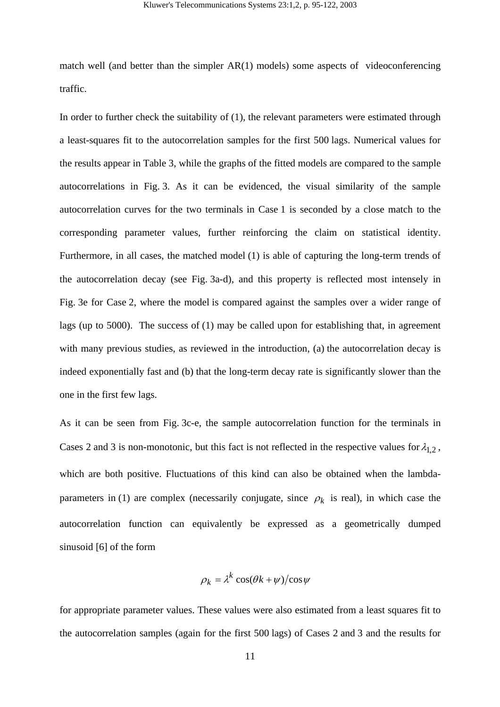match well (and better than the simpler AR(1) models) some aspects of videoconferencing traffic.

In order to further check the suitability of (1), the relevant parameters were estimated through a least-squares fit to the autocorrelation samples for the first 500 lags. Numerical values for the results appear in Table 3, while the graphs of the fitted models are compared to the sample autocorrelations in Fig. 3. As it can be evidenced, the visual similarity of the sample autocorrelation curves for the two terminals in Case 1 is seconded by a close match to the corresponding parameter values, further reinforcing the claim on statistical identity. Furthermore, in all cases, the matched model (1) is able of capturing the long-term trends of the autocorrelation decay (see Fig. 3a-d), and this property is reflected most intensely in Fig. 3e for Case 2, where the model is compared against the samples over a wider range of lags (up to 5000). The success of (1) may be called upon for establishing that, in agreement with many previous studies, as reviewed in the introduction, (a) the autocorrelation decay is indeed exponentially fast and (b) that the long-term decay rate is significantly slower than the one in the first few lags.

As it can be seen from Fig. 3c-e, the sample autocorrelation function for the terminals in Cases 2 and 3 is non-monotonic, but this fact is not reflected in the respective values for  $\lambda_{1,2}$ , which are both positive. Fluctuations of this kind can also be obtained when the lambdaparameters in (1) are complex (necessarily conjugate, since  $\rho_k$  is real), in which case the autocorrelation function can equivalently be expressed as a geometrically dumped sinusoid [6] of the form

$$
\rho_k = \lambda^k \cos(\theta k + \psi) / \cos \psi
$$

for appropriate parameter values. These values were also estimated from a least squares fit to the autocorrelation samples (again for the first 500 lags) of Cases 2 and 3 and the results for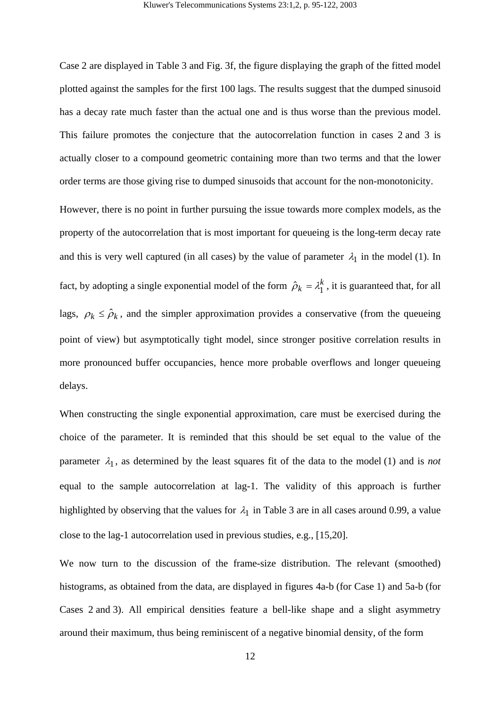Case 2 are displayed in Table 3 and Fig. 3f, the figure displaying the graph of the fitted model plotted against the samples for the first 100 lags. The results suggest that the dumped sinusoid has a decay rate much faster than the actual one and is thus worse than the previous model. This failure promotes the conjecture that the autocorrelation function in cases 2 and 3 is actually closer to a compound geometric containing more than two terms and that the lower order terms are those giving rise to dumped sinusoids that account for the non-monotonicity.

However, there is no point in further pursuing the issue towards more complex models, as the property of the autocorrelation that is most important for queueing is the long-term decay rate and this is very well captured (in all cases) by the value of parameter  $\lambda_1$  in the model (1). In fact, by adopting a single exponential model of the form  $\hat{\rho}_k = \lambda_1^k$ , it is guaranteed that, for all lags,  $\rho_k \leq \hat{\rho}_k$ , and the simpler approximation provides a conservative (from the queueing point of view) but asymptotically tight model, since stronger positive correlation results in more pronounced buffer occupancies, hence more probable overflows and longer queueing delays.

When constructing the single exponential approximation, care must be exercised during the choice of the parameter. It is reminded that this should be set equal to the value of the parameter  $\lambda_1$ , as determined by the least squares fit of the data to the model (1) and is *not* equal to the sample autocorrelation at lag-1. The validity of this approach is further highlighted by observing that the values for  $\lambda_1$  in Table 3 are in all cases around 0.99, a value close to the lag-1 autocorrelation used in previous studies, e.g., [15,20].

We now turn to the discussion of the frame-size distribution. The relevant (smoothed) histograms, as obtained from the data, are displayed in figures 4a-b (for Case 1) and 5a-b (for Cases 2 and 3). All empirical densities feature a bell-like shape and a slight asymmetry around their maximum, thus being reminiscent of a negative binomial density, of the form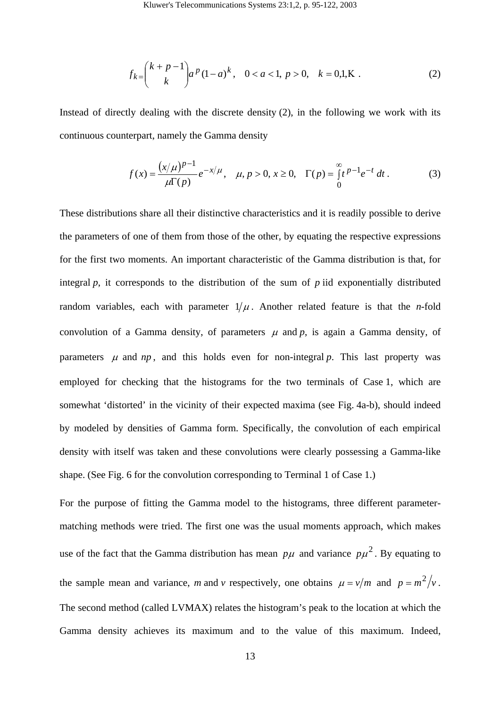$$
f_k = \binom{k+p-1}{k} a^p (1-a)^k, \quad 0 < a < 1, \ p > 0, \quad k = 0, \, 1, \, K \tag{2}
$$

Instead of directly dealing with the discrete density (2), in the following we work with its continuous counterpart, namely the Gamma density

$$
f(x) = \frac{(x/\mu)^{p-1}}{\mu \Gamma(p)} e^{-x/\mu}, \quad \mu, p > 0, x \ge 0, \quad \Gamma(p) = \int_{0}^{\infty} t^{p-1} e^{-t} dt.
$$
 (3)

These distributions share all their distinctive characteristics and it is readily possible to derive the parameters of one of them from those of the other, by equating the respective expressions for the first two moments. An important characteristic of the Gamma distribution is that, for integral  $p$ , it corresponds to the distribution of the sum of  $p$  iid exponentially distributed random variables, each with parameter  $1/\mu$ . Another related feature is that the *n*-fold convolution of a Gamma density, of parameters  $\mu$  and  $p$ , is again a Gamma density, of parameters  $\mu$  and  $np$ , and this holds even for non-integral  $p$ . This last property was employed for checking that the histograms for the two terminals of Case 1, which are somewhat 'distorted' in the vicinity of their expected maxima (see Fig. 4a-b), should indeed by modeled by densities of Gamma form. Specifically, the convolution of each empirical density with itself was taken and these convolutions were clearly possessing a Gamma-like shape. (See Fig. 6 for the convolution corresponding to Terminal 1 of Case 1.)

For the purpose of fitting the Gamma model to the histograms, three different parametermatching methods were tried. The first one was the usual moments approach, which makes use of the fact that the Gamma distribution has mean  $p\mu$  and variance  $p\mu^2$ . By equating to the sample mean and variance, *m* and *v* respectively, one obtains  $\mu = v/m$  and  $p = m^2/v$ . The second method (called LVMAX) relates the histogram's peak to the location at which the Gamma density achieves its maximum and to the value of this maximum. Indeed,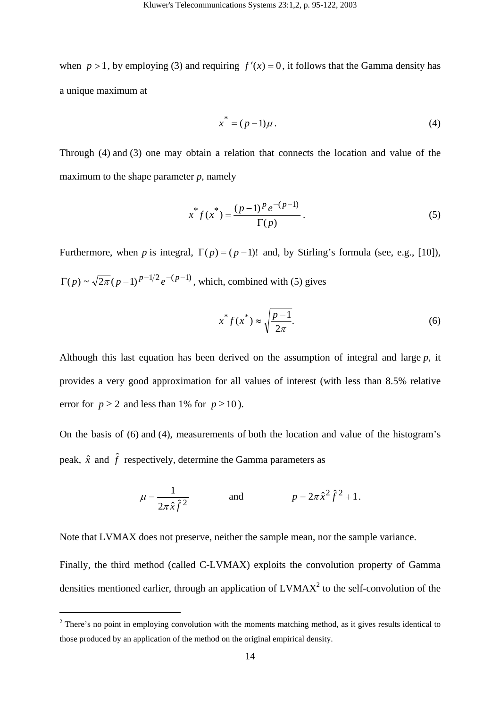when  $p > 1$ , by employing (3) and requiring  $f'(x) = 0$ , it follows that the Gamma density has a unique maximum at

$$
x^* = (p-1)\mu. \tag{4}
$$

Through (4) and (3) one may obtain a relation that connects the location and value of the maximum to the shape parameter  $p$ , namely

$$
x^* f(x^*) = \frac{(p-1)^p e^{-(p-1)}}{\Gamma(p)}.
$$
 (5)

Furthermore, when *p* is integral,  $\Gamma(p) = (p-1)!$  and, by Stirling's formula (see, e.g., [10]),  $\Gamma(p) \sim \sqrt{2\pi} (p-1)^{p-1/2} e^{-(p-1)}$ , which, combined with (5) gives

$$
x^* f(x^*) \approx \sqrt{\frac{p-1}{2\pi}}.
$$
 (6)

Although this last equation has been derived on the assumption of integral and large *p*, it provides a very good approximation for all values of interest (with less than 8.5% relative error for  $p \ge 2$  and less than 1% for  $p \ge 10$ ).

On the basis of (6) and (4), measurements of both the location and value of the histogram's peak,  $\hat{x}$  and  $\hat{f}$  respectively, determine the Gamma parameters as

$$
\mu = \frac{1}{2\pi \hat{x}\hat{f}^2}
$$
 and  $p = 2\pi \hat{x}^2 \hat{f}^2 + 1$ .

Note that LVMAX does not preserve, neither the sample mean, nor the sample variance.

 $\overline{a}$ 

Finally, the third method (called C-LVMAX) exploits the convolution property of Gamma densities mentioned earlier, through an application of  $LVMAX<sup>2</sup>$  to the self-convolution of the

 $2^2$  There's no point in employing convolution with the moments matching method, as it gives results identical to those produced by an application of the method on the original empirical density.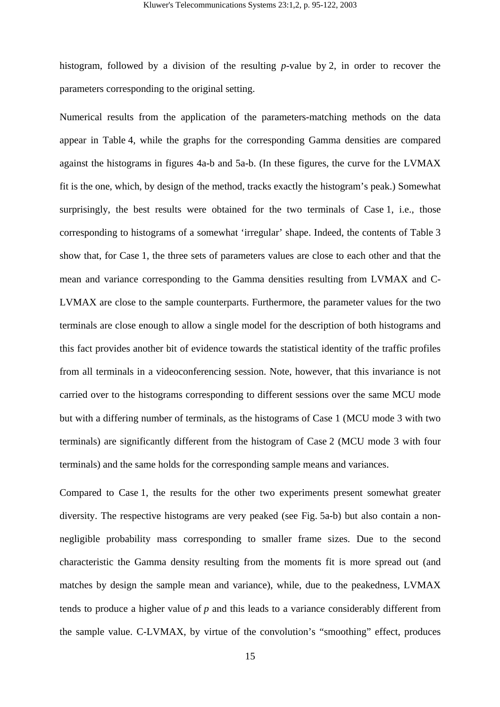histogram, followed by a division of the resulting *p-*value by 2, in order to recover the parameters corresponding to the original setting.

Numerical results from the application of the parameters-matching methods on the data appear in Table 4, while the graphs for the corresponding Gamma densities are compared against the histograms in figures 4a-b and 5a-b. (In these figures, the curve for the LVMAX fit is the one, which, by design of the method, tracks exactly the histogram's peak.) Somewhat surprisingly, the best results were obtained for the two terminals of Case 1, i.e., those corresponding to histograms of a somewhat 'irregular' shape. Indeed, the contents of Table 3 show that, for Case 1, the three sets of parameters values are close to each other and that the mean and variance corresponding to the Gamma densities resulting from LVMAX and C-LVMAX are close to the sample counterparts. Furthermore, the parameter values for the two terminals are close enough to allow a single model for the description of both histograms and this fact provides another bit of evidence towards the statistical identity of the traffic profiles from all terminals in a videoconferencing session. Note, however, that this invariance is not carried over to the histograms corresponding to different sessions over the same MCU mode but with a differing number of terminals, as the histograms of Case 1 (MCU mode 3 with two terminals) are significantly different from the histogram of Case 2 (MCU mode 3 with four terminals) and the same holds for the corresponding sample means and variances.

Compared to Case 1, the results for the other two experiments present somewhat greater diversity. The respective histograms are very peaked (see Fig. 5a-b) but also contain a nonnegligible probability mass corresponding to smaller frame sizes. Due to the second characteristic the Gamma density resulting from the moments fit is more spread out (and matches by design the sample mean and variance), while, due to the peakedness, LVMAX tends to produce a higher value of *p* and this leads to a variance considerably different from the sample value. C-LVMAX, by virtue of the convolution's "smoothing" effect, produces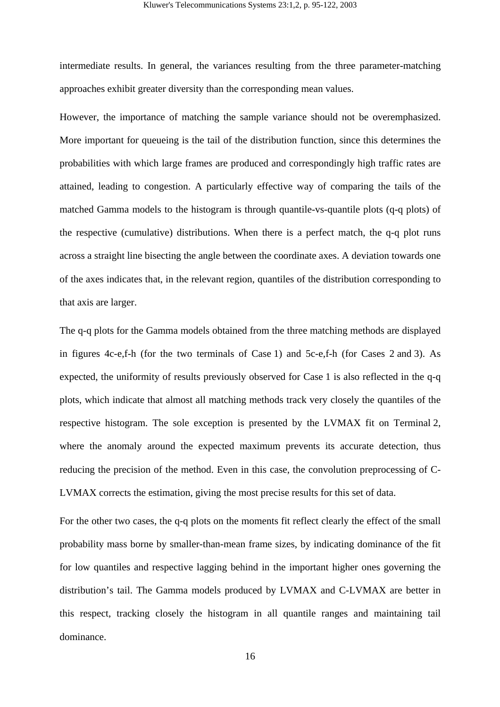intermediate results. In general, the variances resulting from the three parameter-matching approaches exhibit greater diversity than the corresponding mean values.

However, the importance of matching the sample variance should not be overemphasized. More important for queueing is the tail of the distribution function, since this determines the probabilities with which large frames are produced and correspondingly high traffic rates are attained, leading to congestion. A particularly effective way of comparing the tails of the matched Gamma models to the histogram is through quantile-vs-quantile plots (q-q plots) of the respective (cumulative) distributions. When there is a perfect match, the q-q plot runs across a straight line bisecting the angle between the coordinate axes. A deviation towards one of the axes indicates that, in the relevant region, quantiles of the distribution corresponding to that axis are larger.

The q-q plots for the Gamma models obtained from the three matching methods are displayed in figures 4c-e,f-h (for the two terminals of Case 1) and 5c-e,f-h (for Cases 2 and 3). As expected, the uniformity of results previously observed for Case 1 is also reflected in the q-q plots, which indicate that almost all matching methods track very closely the quantiles of the respective histogram. The sole exception is presented by the LVMAX fit on Terminal 2, where the anomaly around the expected maximum prevents its accurate detection, thus reducing the precision of the method. Even in this case, the convolution preprocessing of C-LVMAX corrects the estimation, giving the most precise results for this set of data.

For the other two cases, the q-q plots on the moments fit reflect clearly the effect of the small probability mass borne by smaller-than-mean frame sizes, by indicating dominance of the fit for low quantiles and respective lagging behind in the important higher ones governing the distribution's tail. The Gamma models produced by LVMAX and C-LVMAX are better in this respect, tracking closely the histogram in all quantile ranges and maintaining tail dominance.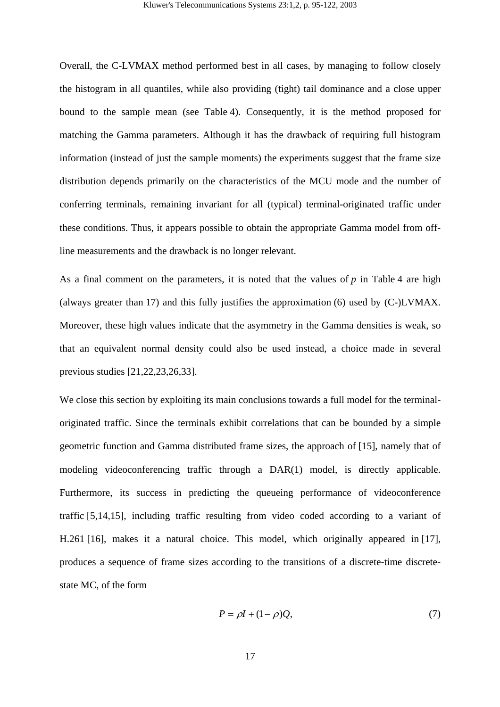Overall, the C-LVMAX method performed best in all cases, by managing to follow closely the histogram in all quantiles, while also providing (tight) tail dominance and a close upper bound to the sample mean (see Table 4). Consequently, it is the method proposed for matching the Gamma parameters. Although it has the drawback of requiring full histogram information (instead of just the sample moments) the experiments suggest that the frame size distribution depends primarily on the characteristics of the MCU mode and the number of conferring terminals, remaining invariant for all (typical) terminal-originated traffic under these conditions. Thus, it appears possible to obtain the appropriate Gamma model from offline measurements and the drawback is no longer relevant.

As a final comment on the parameters, it is noted that the values of *p* in Table 4 are high (always greater than 17) and this fully justifies the approximation (6) used by (C-)LVMAX. Moreover, these high values indicate that the asymmetry in the Gamma densities is weak, so that an equivalent normal density could also be used instead, a choice made in several previous studies [21,22,23,26,33].

We close this section by exploiting its main conclusions towards a full model for the terminaloriginated traffic. Since the terminals exhibit correlations that can be bounded by a simple geometric function and Gamma distributed frame sizes, the approach of [15], namely that of modeling videoconferencing traffic through a DAR(1) model, is directly applicable. Furthermore, its success in predicting the queueing performance of videoconference traffic [5,14,15], including traffic resulting from video coded according to a variant of H.261 [16], makes it a natural choice. This model, which originally appeared in [17], produces a sequence of frame sizes according to the transitions of a discrete-time discretestate MC, of the form

$$
P = \rho I + (1 - \rho)Q,\tag{7}
$$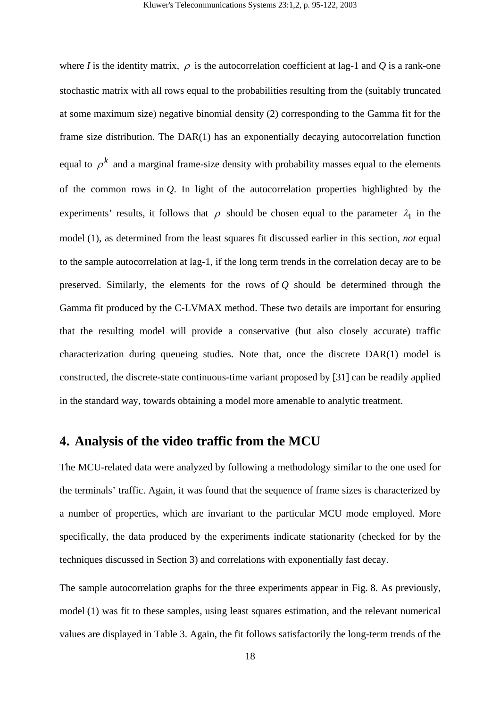where *I* is the identity matrix,  $\rho$  is the autocorrelation coefficient at lag-1 and *Q* is a rank-one stochastic matrix with all rows equal to the probabilities resulting from the (suitably truncated at some maximum size) negative binomial density (2) corresponding to the Gamma fit for the frame size distribution. The DAR(1) has an exponentially decaying autocorrelation function equal to  $\rho^k$  and a marginal frame-size density with probability masses equal to the elements of the common rows in *Q*. In light of the autocorrelation properties highlighted by the experiments' results, it follows that  $\rho$  should be chosen equal to the parameter  $\lambda_1$  in the model (1), as determined from the least squares fit discussed earlier in this section, *not* equal to the sample autocorrelation at lag-1, if the long term trends in the correlation decay are to be preserved. Similarly, the elements for the rows of *Q* should be determined through the Gamma fit produced by the C-LVMAX method. These two details are important for ensuring that the resulting model will provide a conservative (but also closely accurate) traffic characterization during queueing studies. Note that, once the discrete DAR(1) model is constructed, the discrete-state continuous-time variant proposed by [31] can be readily applied in the standard way, towards obtaining a model more amenable to analytic treatment.

# **4. Analysis of the video traffic from the MCU**

The MCU-related data were analyzed by following a methodology similar to the one used for the terminals' traffic. Again, it was found that the sequence of frame sizes is characterized by a number of properties, which are invariant to the particular MCU mode employed. More specifically, the data produced by the experiments indicate stationarity (checked for by the techniques discussed in Section 3) and correlations with exponentially fast decay.

The sample autocorrelation graphs for the three experiments appear in Fig. 8. As previously, model (1) was fit to these samples, using least squares estimation, and the relevant numerical values are displayed in Table 3. Again, the fit follows satisfactorily the long-term trends of the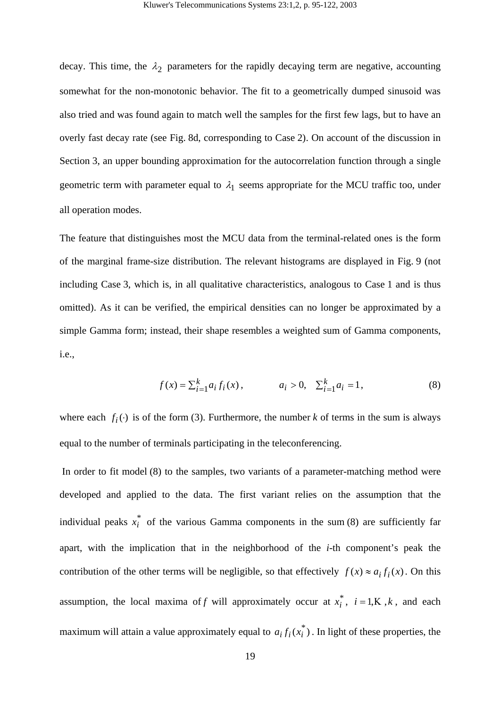decay. This time, the  $\lambda_2$  parameters for the rapidly decaying term are negative, accounting somewhat for the non-monotonic behavior. The fit to a geometrically dumped sinusoid was also tried and was found again to match well the samples for the first few lags, but to have an overly fast decay rate (see Fig. 8d, corresponding to Case 2). On account of the discussion in Section 3, an upper bounding approximation for the autocorrelation function through a single geometric term with parameter equal to  $\lambda_1$  seems appropriate for the MCU traffic too, under all operation modes.

The feature that distinguishes most the MCU data from the terminal-related ones is the form of the marginal frame-size distribution. The relevant histograms are displayed in Fig. 9 (not including Case 3, which is, in all qualitative characteristics, analogous to Case 1 and is thus omitted). As it can be verified, the empirical densities can no longer be approximated by a simple Gamma form; instead, their shape resembles a weighted sum of Gamma components, i.e.,

$$
f(x) = \sum_{i=1}^{k} a_i f_i(x), \qquad a_i > 0, \quad \sum_{i=1}^{k} a_i = 1,
$$
 (8)

where each  $f_i(\cdot)$  is of the form (3). Furthermore, the number *k* of terms in the sum is always equal to the number of terminals participating in the teleconferencing.

 In order to fit model (8) to the samples, two variants of a parameter-matching method were developed and applied to the data. The first variant relies on the assumption that the individual peaks  $x_i^*$  of the various Gamma components in the sum (8) are sufficiently far apart, with the implication that in the neighborhood of the *i*-th component's peak the contribution of the other terms will be negligible, so that effectively  $f(x) \approx a_i f_i(x)$ . On this assumption, the local maxima of *f* will approximately occur at  $x_i^*$ ,  $i = 1, K, k$ , and each maximum will attain a value approximately equal to  $a_i f_i(x_i^*)$ . In light of these properties, the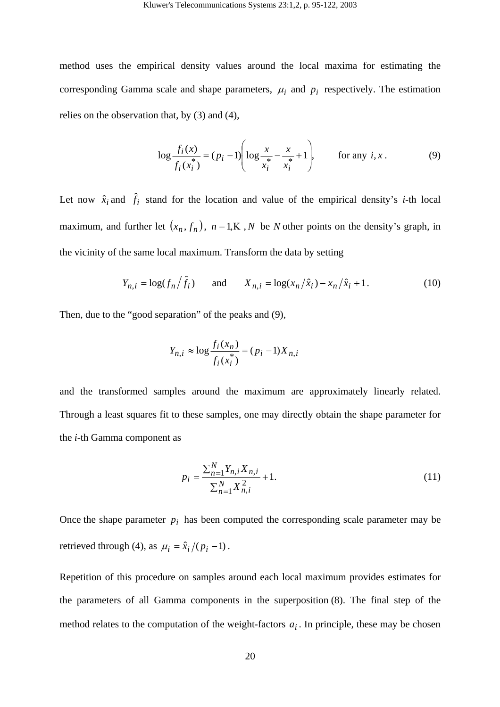method uses the empirical density values around the local maxima for estimating the corresponding Gamma scale and shape parameters,  $\mu_i$  and  $p_i$  respectively. The estimation relies on the observation that, by (3) and (4),

$$
\log \frac{f_i(x)}{f_i(x_i^*)} = (p_i - 1) \left( \log \frac{x}{x_i^*} - \frac{x}{x_i^*} + 1 \right), \quad \text{for any } i, x. \tag{9}
$$

Let now  $\hat{x}_i$  and  $\hat{f}_i$  stand for the location and value of the empirical density's *i*-th local maximum, and further let  $(x_n, f_n)$ ,  $n = 1, K, N$  be *N* other points on the density's graph, in the vicinity of the same local maximum. Transform the data by setting

$$
Y_{n,i} = \log(f_n/\hat{f}_i)
$$
 and  $X_{n,i} = \log(x_n/\hat{x}_i) - x_n/\hat{x}_i + 1.$  (10)

Then, due to the "good separation" of the peaks and (9),

$$
Y_{n,i} \approx \log \frac{f_i(x_n)}{f_i(x_i^*)} = (p_i - 1)X_{n,i}
$$

and the transformed samples around the maximum are approximately linearly related. Through a least squares fit to these samples, one may directly obtain the shape parameter for the *i*-th Gamma component as

$$
p_i = \frac{\sum_{n=1}^{N} Y_{n,i} X_{n,i}}{\sum_{n=1}^{N} X_{n,i}^2} + 1.
$$
 (11)

Once the shape parameter  $p_i$  has been computed the corresponding scale parameter may be retrieved through (4), as  $\mu_i = \hat{x}_i / (p_i - 1)$ .

Repetition of this procedure on samples around each local maximum provides estimates for the parameters of all Gamma components in the superposition (8). The final step of the method relates to the computation of the weight-factors  $a_i$ . In principle, these may be chosen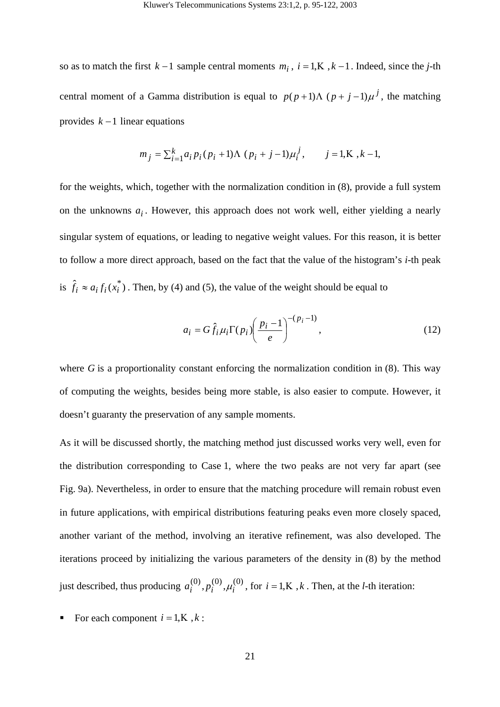so as to match the first  $k-1$  sample central moments  $m_i$ ,  $i = 1, K, k-1$ . Indeed, since the *j*-th central moment of a Gamma distribution is equal to  $p(p+1)\Lambda (p+j-1)\mu^{j}$ , the matching provides  $k-1$  linear equations

$$
m_j = \sum_{i=1}^k a_i p_i (p_i + 1) \Lambda (p_i + j - 1) \mu_i^j, \qquad j = 1, \mathbf{K}, k - 1,
$$

for the weights, which, together with the normalization condition in (8), provide a full system on the unknowns  $a_i$ . However, this approach does not work well, either yielding a nearly singular system of equations, or leading to negative weight values. For this reason, it is better to follow a more direct approach, based on the fact that the value of the histogram's *i*-th peak is  $\hat{f}_i \approx a_i f_i(x_i^*)$ . Then, by (4) and (5), the value of the weight should be equal to

$$
a_i = G\hat{f}_i\mu_i \Gamma(p_i) \left(\frac{p_i - 1}{e}\right)^{-(p_i - 1)},\tag{12}
$$

where *G* is a proportionality constant enforcing the normalization condition in (8). This way of computing the weights, besides being more stable, is also easier to compute. However, it doesn't guaranty the preservation of any sample moments.

As it will be discussed shortly, the matching method just discussed works very well, even for the distribution corresponding to Case 1, where the two peaks are not very far apart (see Fig. 9a). Nevertheless, in order to ensure that the matching procedure will remain robust even in future applications, with empirical distributions featuring peaks even more closely spaced, another variant of the method, involving an iterative refinement, was also developed. The iterations proceed by initializing the various parameters of the density in (8) by the method just described, thus producing  $a_i^{(0)}, p_i^{(0)}, \mu_i^{(0)}$ , for  $i = 1, K, k$ . Then, at the *l*-th iteration:

For each component  $i = 1, K, k$ :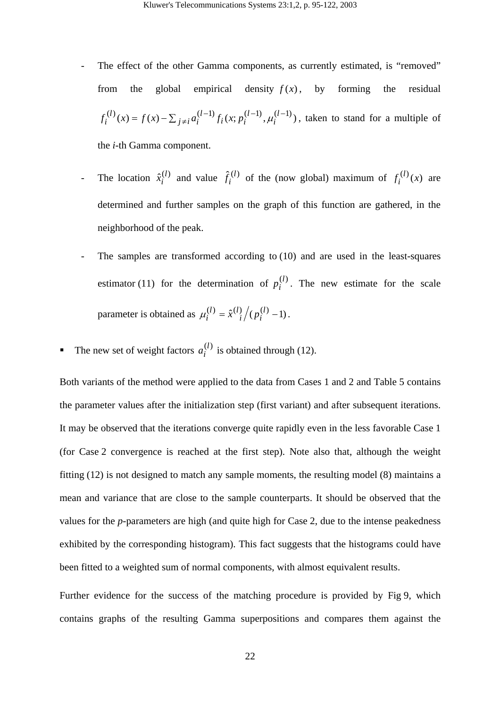- The effect of the other Gamma components, as currently estimated, is "removed" from the global empirical density  $f(x)$ , by forming the residual  $= f(x) - \sum_{j \neq i} a_i^{(l-1)} f_i(x; p_i^{(l-1)}, \mu_i^{(l-1)})$ *i l*  $i^{(x)}$ *l i*  $f_i^{(l)}(x) = f(x) - \sum_{j \neq i} a_i^{(l-1)} f_i(x; p_i^{(l-1)}, \mu_i^{(l-1)})$ , taken to stand for a multiple of the *i*-th Gamma component.
- The location  $\hat{x}_i^{(l)}$  and value  $\hat{f}_i^{(l)}$  of the (now global) maximum of  $f_i^{(l)}(x)$  are determined and further samples on the graph of this function are gathered, in the neighborhood of the peak.
- The samples are transformed according to  $(10)$  and are used in the least-squares estimator (11) for the determination of  $p_i^{(l)}$ . The new estimate for the scale parameter is obtained as  $\mu_i^{(l)} = \hat{x}_{i}^{(l)}/(p_i^{(l)}-1)$ *l i*  $\mu_i^{(l)} = \hat{x}_{i}^{(l)} / (p_i^{(l)} - 1).$
- The new set of weight factors  $a_i^{(l)}$  is obtained through (12).

Both variants of the method were applied to the data from Cases 1 and 2 and Table 5 contains the parameter values after the initialization step (first variant) and after subsequent iterations. It may be observed that the iterations converge quite rapidly even in the less favorable Case 1 (for Case 2 convergence is reached at the first step). Note also that, although the weight fitting (12) is not designed to match any sample moments, the resulting model (8) maintains a mean and variance that are close to the sample counterparts. It should be observed that the values for the *p*-parameters are high (and quite high for Case 2, due to the intense peakedness exhibited by the corresponding histogram). This fact suggests that the histograms could have been fitted to a weighted sum of normal components, with almost equivalent results.

Further evidence for the success of the matching procedure is provided by Fig 9, which contains graphs of the resulting Gamma superpositions and compares them against the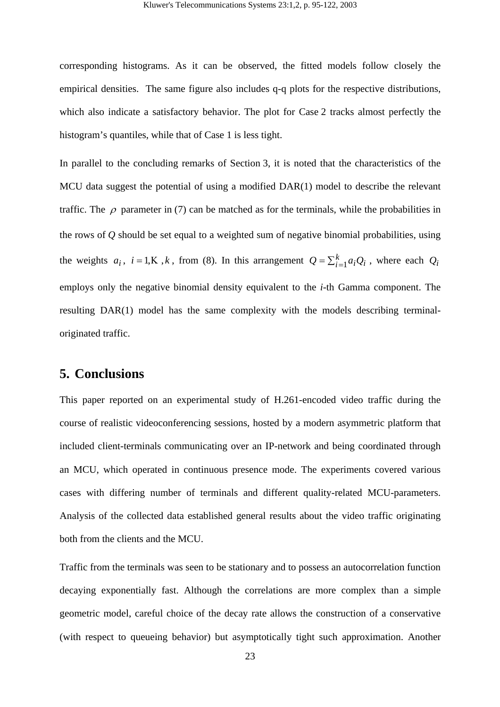corresponding histograms. As it can be observed, the fitted models follow closely the empirical densities. The same figure also includes q-q plots for the respective distributions, which also indicate a satisfactory behavior. The plot for Case 2 tracks almost perfectly the histogram's quantiles, while that of Case 1 is less tight.

In parallel to the concluding remarks of Section 3, it is noted that the characteristics of the MCU data suggest the potential of using a modified DAR(1) model to describe the relevant traffic. The  $\rho$  parameter in (7) can be matched as for the terminals, while the probabilities in the rows of *Q* should be set equal to a weighted sum of negative binomial probabilities, using the weights  $a_i$ ,  $i = 1, K, k$ , from (8). In this arrangement  $Q = \sum_{i=1}^{k} a_i Q_i$ , where each  $Q_i$ employs only the negative binomial density equivalent to the *i*-th Gamma component. The resulting DAR(1) model has the same complexity with the models describing terminaloriginated traffic.

#### **5. Conclusions**

This paper reported on an experimental study of H.261-encoded video traffic during the course of realistic videoconferencing sessions, hosted by a modern asymmetric platform that included client-terminals communicating over an IP-network and being coordinated through an MCU, which operated in continuous presence mode. The experiments covered various cases with differing number of terminals and different quality-related MCU-parameters. Analysis of the collected data established general results about the video traffic originating both from the clients and the MCU.

Traffic from the terminals was seen to be stationary and to possess an autocorrelation function decaying exponentially fast. Although the correlations are more complex than a simple geometric model, careful choice of the decay rate allows the construction of a conservative (with respect to queueing behavior) but asymptotically tight such approximation. Another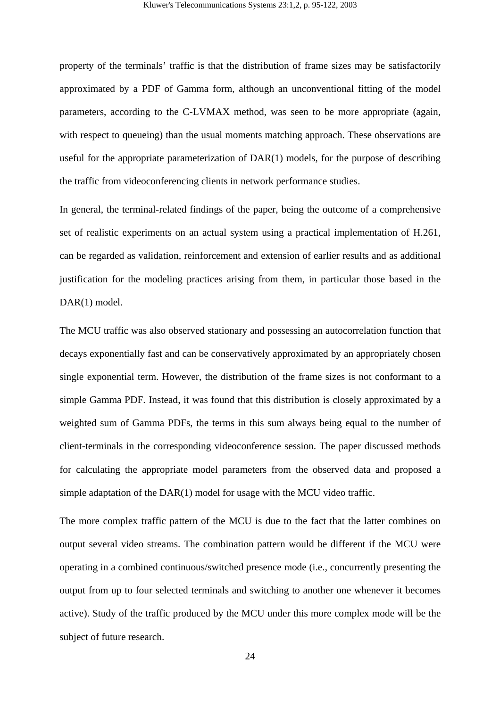property of the terminals' traffic is that the distribution of frame sizes may be satisfactorily approximated by a PDF of Gamma form, although an unconventional fitting of the model parameters, according to the C-LVMAX method, was seen to be more appropriate (again, with respect to queueing) than the usual moments matching approach. These observations are useful for the appropriate parameterization of DAR(1) models, for the purpose of describing the traffic from videoconferencing clients in network performance studies.

In general, the terminal-related findings of the paper, being the outcome of a comprehensive set of realistic experiments on an actual system using a practical implementation of H.261, can be regarded as validation, reinforcement and extension of earlier results and as additional justification for the modeling practices arising from them, in particular those based in the DAR(1) model.

The MCU traffic was also observed stationary and possessing an autocorrelation function that decays exponentially fast and can be conservatively approximated by an appropriately chosen single exponential term. However, the distribution of the frame sizes is not conformant to a simple Gamma PDF. Instead, it was found that this distribution is closely approximated by a weighted sum of Gamma PDFs, the terms in this sum always being equal to the number of client-terminals in the corresponding videoconference session. The paper discussed methods for calculating the appropriate model parameters from the observed data and proposed a simple adaptation of the DAR(1) model for usage with the MCU video traffic.

The more complex traffic pattern of the MCU is due to the fact that the latter combines on output several video streams. The combination pattern would be different if the MCU were operating in a combined continuous/switched presence mode (i.e., concurrently presenting the output from up to four selected terminals and switching to another one whenever it becomes active). Study of the traffic produced by the MCU under this more complex mode will be the subject of future research.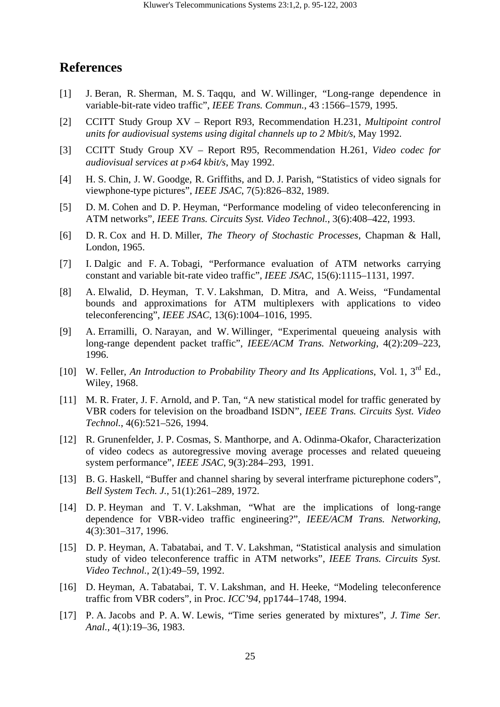# **References**

- [1] J. Beran, R. Sherman, M. S. Taqqu, and W. Willinger, "Long-range dependence in variable-bit-rate video traffic", *IEEE Trans. Commun.*, 43 :1566–1579, 1995.
- [2] CCITT Study Group XV Report R93, Recommendation H.231, *Multipoint control units for audiovisual systems using digital channels up to 2 Mbit/s*, May 1992.
- [3] CCITT Study Group XV Report R95, Recommendation H.261, *Video codec for audiovisual services at p*×*64 kbit/s*, May 1992.
- [4] H. S. Chin, J. W. Goodge, R. Griffiths, and D. J. Parish, "Statistics of video signals for viewphone-type pictures", *IEEE JSAC*, 7(5):826–832, 1989.
- [5] D. M. Cohen and D. P. Heyman, "Performance modeling of video teleconferencing in ATM networks", *IEEE Trans. Circuits Syst. Video Technol.*, 3(6):408–422, 1993.
- [6] D. R. Cox and H. D. Miller, *The Theory of Stochastic Processes*, Chapman & Hall, London, 1965.
- [7] I. Dalgic and F. A. Tobagi, "Performance evaluation of ATM networks carrying constant and variable bit-rate video traffic", *IEEE JSAC*, 15(6):1115–1131, 1997.
- [8] A. Elwalid, D. Heyman, T. V. Lakshman, D. Mitra, and A. Weiss, "Fundamental bounds and approximations for ATM multiplexers with applications to video teleconferencing", *IEEE JSAC*, 13(6):1004–1016, 1995.
- [9] A. Erramilli, O. Narayan, and W. Willinger, "Experimental queueing analysis with long-range dependent packet traffic", *IEEE/ACM Trans. Networking*, 4(2):209–223, 1996.
- [10] W. Feller, *An Introduction to Probability Theory and Its Applications*, Vol. 1, 3<sup>rd</sup> Ed., Wiley, 1968.
- [11] M. R. Frater, J. F. Arnold, and P. Tan, "A new statistical model for traffic generated by VBR coders for television on the broadband ISDN", *IEEE Trans. Circuits Syst. Video Technol.*, 4(6):521–526, 1994.
- [12] R. Grunenfelder, J. P. Cosmas, S. Manthorpe, and A. Odinma-Okafor, Characterization of video codecs as autoregressive moving average processes and related queueing system performance", *IEEE JSAC*, 9(3):284–293, 1991.
- [13] B. G. Haskell, "Buffer and channel sharing by several interframe picturephone coders", *Bell System Tech. J.*, 51(1):261–289, 1972.
- [14] D. P. Heyman and T. V. Lakshman, "What are the implications of long-range dependence for VBR-video traffic engineering?", *IEEE/ACM Trans. Networking*, 4(3):301–317, 1996.
- [15] D. P. Heyman, A. Tabatabai, and T. V. Lakshman, "Statistical analysis and simulation study of video teleconference traffic in ATM networks", *IEEE Trans. Circuits Syst. Video Technol.*, 2(1):49–59, 1992.
- [16] D. Heyman, A. Tabatabai, T. V. Lakshman, and H. Heeke, "Modeling teleconference traffic from VBR coders", in Proc. *ICC'94*, pp1744–1748, 1994.
- [17] P. A. Jacobs and P. A. W. Lewis, "Time series generated by mixtures", *J. Time Ser. Anal.*, 4(1):19–36, 1983.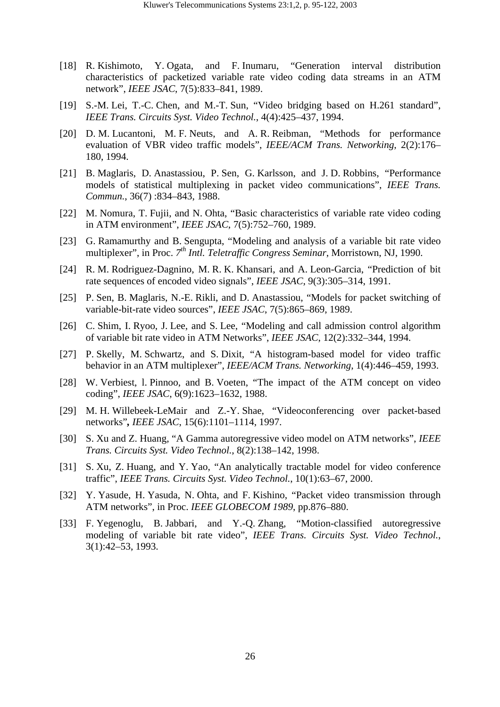- [18] R. Kishimoto, Y. Ogata, and F. Inumaru, "Generation interval distribution characteristics of packetized variable rate video coding data streams in an ATM network", *IEEE JSAC*, 7(5):833–841, 1989.
- [19] S.-M. Lei, T.-C. Chen, and M.-T. Sun, "Video bridging based on H.261 standard", *IEEE Trans. Circuits Syst. Video Technol.*, 4(4):425–437, 1994.
- [20] D. M. Lucantoni, M. F. Neuts, and A. R. Reibman, "Methods for performance evaluation of VBR video traffic models", *IEEE/ACM Trans. Networking*, 2(2):176– 180, 1994.
- [21] B. Maglaris, D. Anastassiou, P. Sen, G. Karlsson, and J. D. Robbins, "Performance models of statistical multiplexing in packet video communications", *IEEE Trans. Commun.*, 36(7) :834–843, 1988.
- [22] M. Nomura, T. Fujii, and N. Ohta, "Basic characteristics of variable rate video coding in ATM environment", *IEEE JSAC*, 7(5):752–760, 1989.
- [23] G. Ramamurthy and B. Sengupta, "Modeling and analysis of a variable bit rate video multiplexer", in Proc. *7th Intl. Teletraffic Congress Seminar*, Morristown, NJ, 1990.
- [24] R. M. Rodriguez-Dagnino, M. R. K. Khansari, and A. Leon-Garcia, "Prediction of bit rate sequences of encoded video signals", *IEEE JSAC*, 9(3):305–314, 1991.
- [25] P. Sen, B. Maglaris, N.-E. Rikli, and D. Anastassiou, "Models for packet switching of variable-bit-rate video sources", *IEEE JSAC*, 7(5):865–869, 1989.
- [26] C. Shim, I. Ryoo, J. Lee, and S. Lee, "Modeling and call admission control algorithm of variable bit rate video in ATM Networks", *IEEE JSAC*, 12(2):332–344, 1994.
- [27] P. Skelly, M. Schwartz, and S. Dixit, "A histogram-based model for video traffic behavior in an ATM multiplexer", *IEEE/ACM Trans. Networking*, 1(4):446–459, 1993.
- [28] W. Verbiest, l. Pinnoo, and B. Voeten, "The impact of the ATM concept on video coding", *IEEE JSAC*, 6(9):1623–1632, 1988.
- [29] M. H. Willebeek-LeMair and Z.-Y. Shae, "Videoconferencing over packet-based networks"*, IEEE JSAC*, 15(6):1101–1114, 1997.
- [30] S. Xu and Z. Huang, "A Gamma autoregressive video model on ATM networks", *IEEE Trans. Circuits Syst. Video Technol.*, 8(2):138–142, 1998.
- [31] S. Xu, Z. Huang, and Y. Yao, "An analytically tractable model for video conference traffic", *IEEE Trans. Circuits Syst. Video Technol.*, 10(1):63–67, 2000.
- [32] Y. Yasude, H. Yasuda, N. Ohta, and F. Kishino, "Packet video transmission through ATM networks", in Proc. *IEEE GLOBECOM 1989*, pp.876–880.
- [33] F. Yegenoglu, B. Jabbari, and Y.-Q. Zhang, "Motion-classified autoregressive modeling of variable bit rate video", *IEEE Trans. Circuits Syst. Video Technol.*, 3(1):42–53, 1993.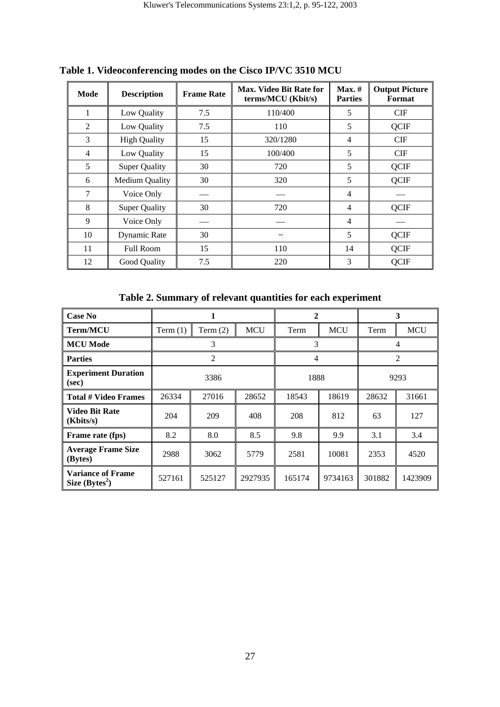| Mode | <b>Description</b>    | <b>Frame Rate</b> | Max. Video Bit Rate for<br>terms/MCU (Kbit/s) | $Max.$ #<br><b>Parties</b> | <b>Output Picture</b><br>Format |
|------|-----------------------|-------------------|-----------------------------------------------|----------------------------|---------------------------------|
|      | Low Quality           | 7.5               | 110/400                                       | 5                          | CIF                             |
| 2    | Low Quality           | 7.5               | 110                                           | 5                          | <b>QCIF</b>                     |
| 3    | <b>High Quality</b>   | 15                | 320/1280                                      | 4                          | CIF                             |
| 4    | Low Quality           | 15                | 100/400                                       | 5                          | CIF                             |
| 5    | <b>Super Quality</b>  | 30                | 720                                           | 5                          | QCIF                            |
| 6    | <b>Medium Quality</b> | 30                | 320                                           | 5                          | QCIF                            |
| 7    | Voice Only            |                   |                                               | $\overline{4}$             |                                 |
| 8    | <b>Super Quality</b>  | 30                | 720                                           | $\overline{4}$             | QCIF                            |
| 9    | Voice Only            |                   |                                               | 4                          |                                 |
| 10   | <b>Dynamic Rate</b>   | 30                | $\tilde{}$                                    | 5                          | QCIF                            |
| 11   | <b>Full Room</b>      | 15                | 110                                           | 14                         | QCIF                            |
| 12   | Good Quality          | 7.5               | 220                                           | 3                          | QCIF                            |

**Table 1. Videoconferencing modes on the Cisco IP/VC 3510 MCU** 

**Table 2. Summary of relevant quantities for each experiment** 

| <b>Case No</b>                               |            |            |            | $\mathbf{2}$ |            | 3              |            |
|----------------------------------------------|------------|------------|------------|--------------|------------|----------------|------------|
| <b>Term/MCU</b>                              | Term $(1)$ | Term $(2)$ | <b>MCU</b> | Term         | <b>MCU</b> | Term           | <b>MCU</b> |
| <b>MCU Mode</b>                              | 3          |            |            | 3            |            | 4              |            |
| <b>Parties</b>                               | 2          |            |            | 4            |            | $\overline{2}$ |            |
| <b>Experiment Duration</b><br>(sec)          | 3386       |            |            | 1888         |            | 9293           |            |
| <b>Total # Video Frames</b>                  | 26334      | 27016      | 28652      | 18543        | 18619      | 28632          | 31661      |
| <b>Video Bit Rate</b><br>(Kbits/s)           | 204        | 209        | 408        | 208          | 812        | 63             | 127        |
| Frame rate (fps)                             | 8.2        | 8.0        | 8.5        | 9.8          | 9.9        | 3.1            | 3.4        |
| <b>Average Frame Size</b><br>(Bytes)         | 2988       | 3062       | 5779       | 2581         | 10081      | 2353           | 4520       |
| <b>Variance of Frame</b><br>Size $(Bytes^2)$ | 527161     | 525127     | 2927935    | 165174       | 9734163    | 301882         | 1423909    |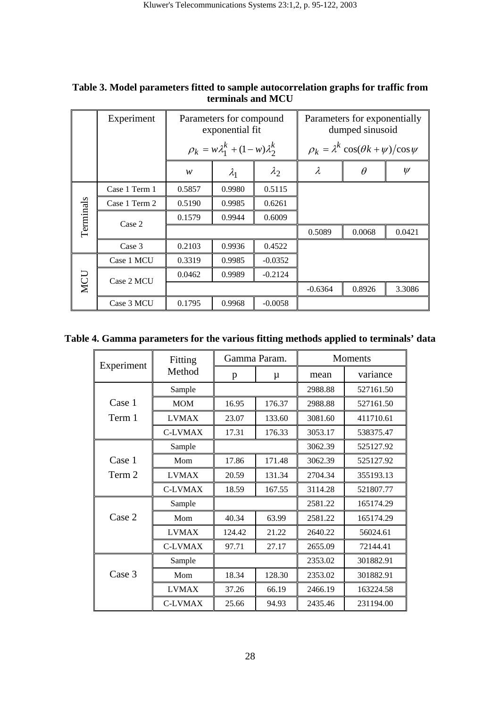|            | Experiment    | Parameters for compound<br>exponential fit |             |             | Parameters for exponentially<br>dumped sinusoid      |        |        |
|------------|---------------|--------------------------------------------|-------------|-------------|------------------------------------------------------|--------|--------|
|            |               | $\rho_k = w\lambda_1^k + (1-w)\lambda_2^k$ |             |             | $\rho_k = \lambda^k \cos(\theta k + \psi)/\cos \psi$ |        |        |
|            |               | w                                          | $\lambda_1$ | $\lambda_2$ | λ                                                    | θ      | $\psi$ |
| Terminals  | Case 1 Term 1 | 0.5857                                     | 0.9980      | 0.5115      |                                                      |        |        |
|            | Case 1 Term 2 | 0.5190                                     | 0.9985      | 0.6261      |                                                      |        |        |
|            | Case 2        | 0.1579                                     | 0.9944      | 0.6009      |                                                      |        |        |
|            |               |                                            |             |             | 0.5089                                               | 0.0068 | 0.0421 |
|            | Case 3        | 0.2103                                     | 0.9936      | 0.4522      |                                                      |        |        |
| <b>MCU</b> | Case 1 MCU    | 0.3319                                     | 0.9985      | $-0.0352$   |                                                      |        |        |
|            | Case 2 MCU    | 0.0462                                     | 0.9989      | $-0.2124$   |                                                      |        |        |
|            |               |                                            |             |             | $-0.6364$                                            | 0.8926 | 3.3086 |
|            | Case 3 MCU    | 0.1795                                     | 0.9968      | $-0.0058$   |                                                      |        |        |

**Table 3. Model parameters fitted to sample autocorrelation graphs for traffic from terminals and MCU** 

# **Table 4. Gamma parameters for the various fitting methods applied to terminals' data**

 $\blacksquare$ 

| Experiment | Fitting        | Gamma Param. |        | Moments |           |  |
|------------|----------------|--------------|--------|---------|-----------|--|
|            | Method         | p            | μ      | mean    | variance  |  |
|            | Sample         |              |        | 2988.88 | 527161.50 |  |
| Case 1     | <b>MOM</b>     | 16.95        | 176.37 | 2988.88 | 527161.50 |  |
| Term 1     | <b>LVMAX</b>   | 23.07        | 133.60 | 3081.60 | 411710.61 |  |
|            | <b>C-LVMAX</b> | 17.31        | 176.33 | 3053.17 | 538375.47 |  |
|            | Sample         |              |        | 3062.39 | 525127.92 |  |
| Case 1     | Mom            | 17.86        | 171.48 | 3062.39 | 525127.92 |  |
| Term 2     | <b>LVMAX</b>   | 20.59        | 131.34 | 2704.34 | 355193.13 |  |
|            | <b>C-LVMAX</b> | 18.59        | 167.55 | 3114.28 | 521807.77 |  |
|            | Sample         |              |        | 2581.22 | 165174.29 |  |
| Case 2     | Mom            | 40.34        | 63.99  | 2581.22 | 165174.29 |  |
|            | <b>LVMAX</b>   | 124.42       | 21.22  | 2640.22 | 56024.61  |  |
|            | <b>C-LVMAX</b> | 97.71        | 27.17  | 2655.09 | 72144.41  |  |
|            | Sample         |              |        | 2353.02 | 301882.91 |  |
| Case 3     | Mom            | 18.34        | 128.30 | 2353.02 | 301882.91 |  |
|            | <b>LVMAX</b>   | 37.26        | 66.19  | 2466.19 | 163224.58 |  |
|            | <b>C-LVMAX</b> | 25.66        | 94.93  | 2435.46 | 231194.00 |  |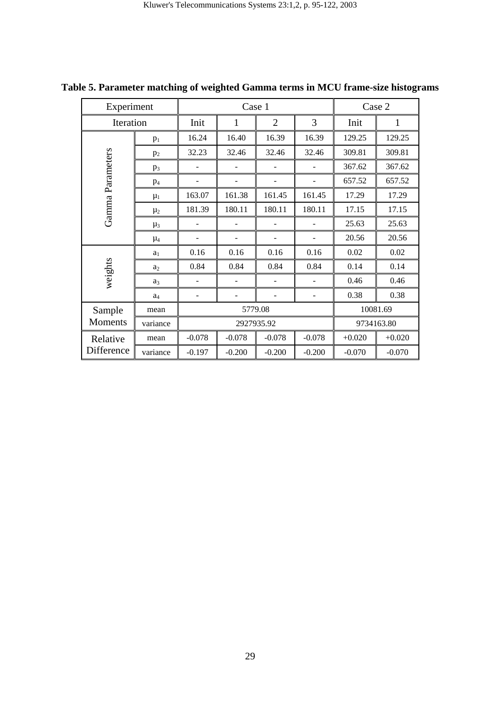| Experiment             |                |                | Case 1       | Case 2         |          |            |              |
|------------------------|----------------|----------------|--------------|----------------|----------|------------|--------------|
| Iteration              |                | Init           | $\mathbf{1}$ | $\overline{2}$ | 3        | Init       | $\mathbf{1}$ |
|                        | $p_1$          | 16.24          | 16.40        | 16.39          | 16.39    | 129.25     | 129.25       |
|                        | $p_2$          | 32.23          | 32.46        | 32.46          | 32.46    | 309.81     | 309.81       |
| Gamma Parameters       | p <sub>3</sub> |                |              |                |          | 367.62     | 367.62       |
|                        | p <sub>4</sub> |                | L,           |                |          | 657.52     | 657.52       |
|                        | $\mu_1$        | 163.07         | 161.38       | 161.45         | 161.45   | 17.29      | 17.29        |
|                        | $\mu_2$        | 181.39         | 180.11       | 180.11         | 180.11   | 17.15      | 17.15        |
|                        | $\mu_3$        |                | -            |                |          | 25.63      | 25.63        |
|                        | $\mu_4$        |                | -            |                |          | 20.56      | 20.56        |
|                        | a <sub>1</sub> | 0.16           | 0.16         | 0.16           | 0.16     | 0.02       | 0.02         |
| weights                | a <sub>2</sub> | 0.84           | 0.84         | 0.84           | 0.84     | 0.14       | 0.14         |
|                        | $a_3$          | $\overline{a}$ | -            |                |          | 0.46       | 0.46         |
|                        | $a_4$          | -              | ۰            |                | ۰        | 0.38       | 0.38         |
| Sample                 | mean           |                | 5779.08      | 10081.69       |          |            |              |
| <b>Moments</b>         | variance       | 2927935.92     |              |                |          | 9734163.80 |              |
| Relative<br>Difference | mean           | $-0.078$       | $-0.078$     | $-0.078$       | $-0.078$ | $+0.020$   | $+0.020$     |
|                        | variance       | $-0.197$       | $-0.200$     | $-0.200$       | $-0.200$ | $-0.070$   | $-0.070$     |

**Table 5. Parameter matching of weighted Gamma terms in MCU frame-size histograms**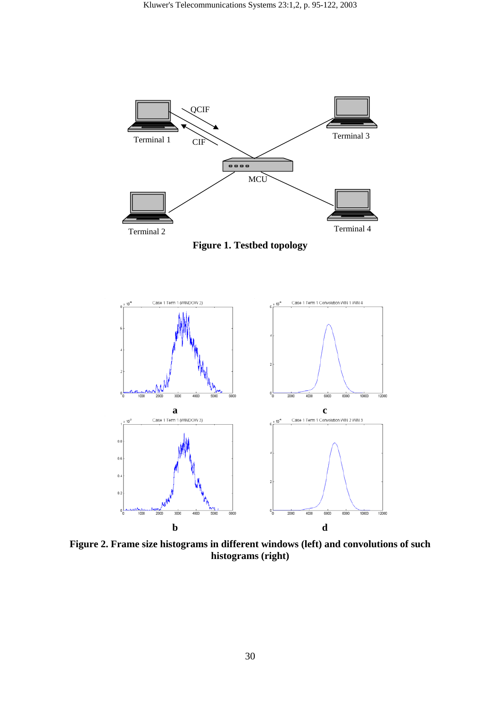

**Figure 1. Testbed topology** 



**Figure 2. Frame size histograms in different windows (left) and convolutions of such histograms (right)**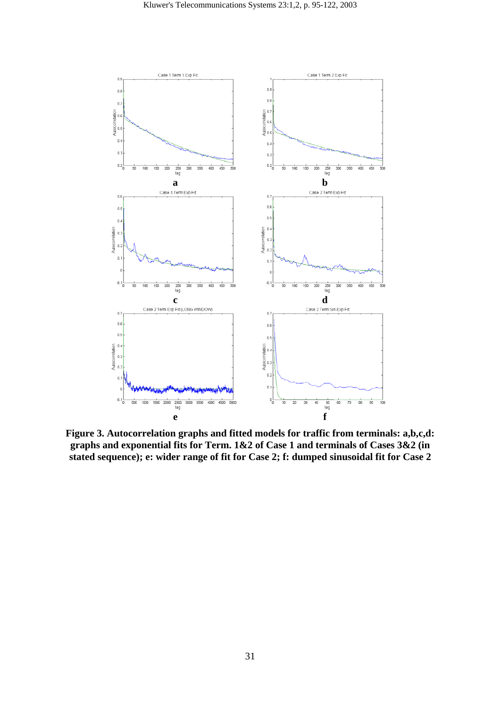

**Figure 3. Autocorrelation graphs and fitted models for traffic from terminals: a,b,c,d: graphs and exponential fits for Term. 1&2 of Case 1 and terminals of Cases 3&2 (in stated sequence); e: wider range of fit for Case 2; f: dumped sinusoidal fit for Case 2**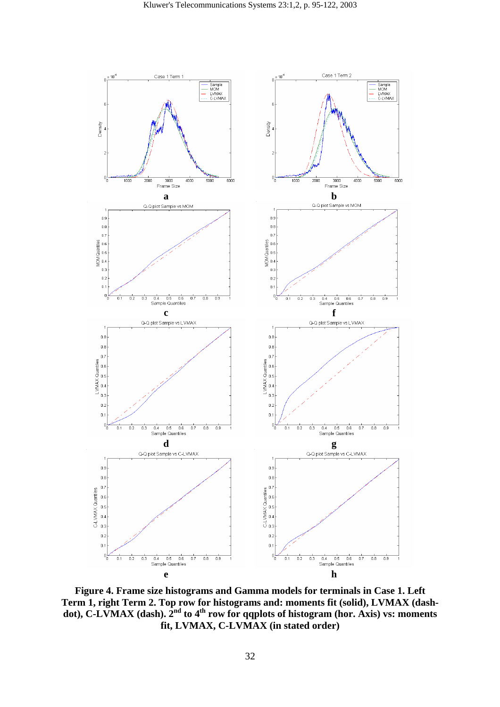

**Figure 4. Frame size histograms and Gamma models for terminals in Case 1. Left Term 1, right Term 2. Top row for histograms and: moments fit (solid), LVMAX (dashdot), C-LVMAX (dash). 2nd to 4th row for qqplots of histogram (hor. Axis) vs: moments fit, LVMAX, C-LVMAX (in stated order)**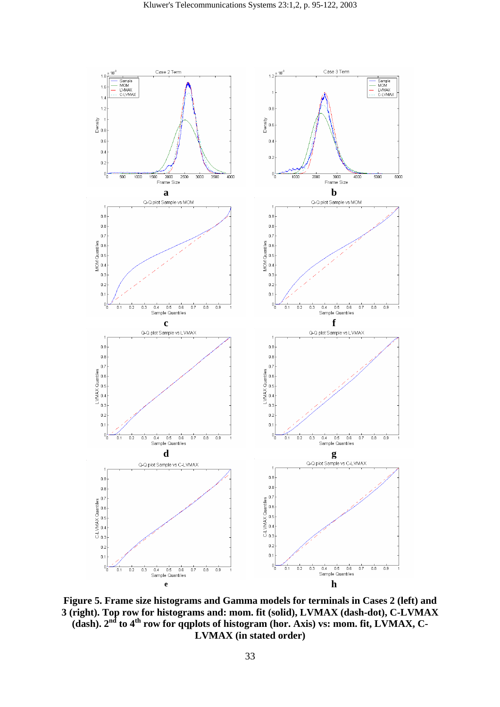

**Figure 5. Frame size histograms and Gamma models for terminals in Cases 2 (left) and 3 (right). Top row for histograms and: mom. fit (solid), LVMAX (dash-dot), C-LVMAX**  (dash). 2<sup>nd</sup> to 4<sup>th</sup> row for qqplots of histogram (hor. Axis) vs: mom. fit, LVMAX, C-**LVMAX (in stated order)**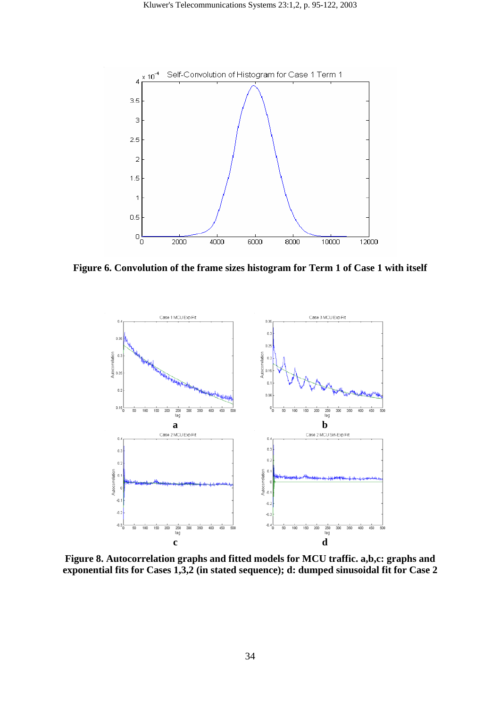

**Figure 6. Convolution of the frame sizes histogram for Term 1 of Case 1 with itself** 



**Figure 8. Autocorrelation graphs and fitted models for MCU traffic. a,b,c: graphs and exponential fits for Cases 1,3,2 (in stated sequence); d: dumped sinusoidal fit for Case 2**